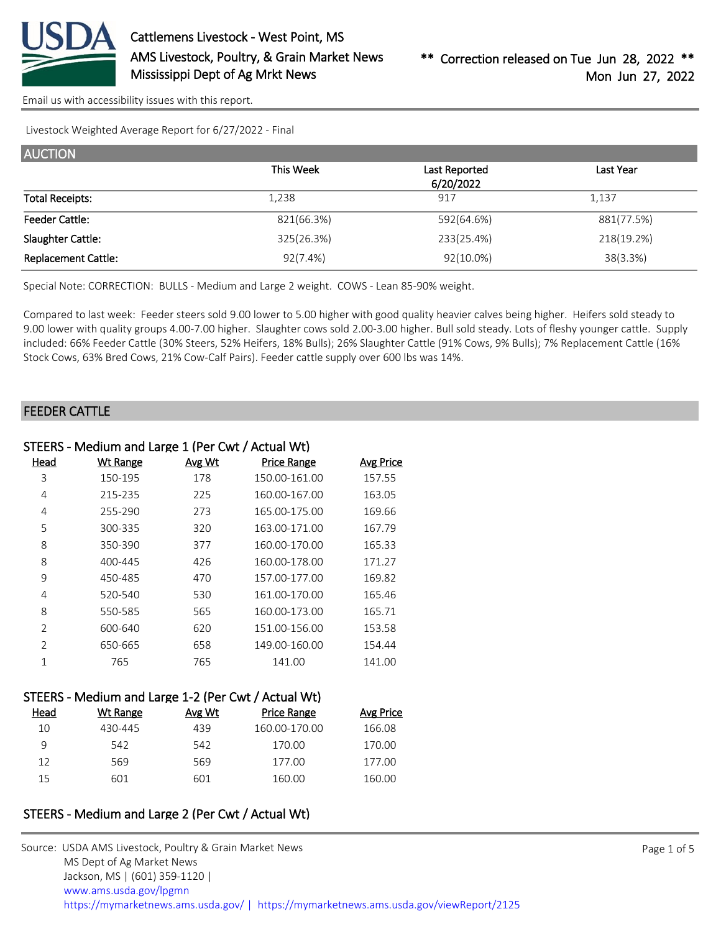

[Email us with accessibility issues with this report.](mailto:mars@ams.usda.gov?subject=508%20issue)

Livestock Weighted Average Report for 6/27/2022 - Final

| <b>AUCTION</b>             |            |               |            |
|----------------------------|------------|---------------|------------|
|                            | This Week  | Last Reported | Last Year  |
|                            |            | 6/20/2022     |            |
| <b>Total Receipts:</b>     | 1,238      | 917           | 1,137      |
| <b>Feeder Cattle:</b>      | 821(66.3%) | 592(64.6%)    | 881(77.5%) |
| Slaughter Cattle:          | 325(26.3%) | 233(25.4%)    | 218(19.2%) |
| <b>Replacement Cattle:</b> | 92(7.4%)   | 92(10.0%)     | 38(3.3%)   |

Special Note: CORRECTION: BULLS - Medium and Large 2 weight. COWS - Lean 85-90% weight.

Compared to last week: Feeder steers sold 9.00 lower to 5.00 higher with good quality heavier calves being higher. Heifers sold steady to 9.00 lower with quality groups 4.00-7.00 higher. Slaughter cows sold 2.00-3.00 higher. Bull sold steady. Lots of fleshy younger cattle. Supply included: 66% Feeder Cattle (30% Steers, 52% Heifers, 18% Bulls); 26% Slaughter Cattle (91% Cows, 9% Bulls); 7% Replacement Cattle (16% Stock Cows, 63% Bred Cows, 21% Cow-Calf Pairs). Feeder cattle supply over 600 lbs was 14%.

#### FEEDER CATTLE

| STEERS - Medium and Large 1 (Per Cwt / Actual Wt) |                 |        |                    |                  |
|---------------------------------------------------|-----------------|--------|--------------------|------------------|
| Head                                              | <b>Wt Range</b> | Avg Wt | <b>Price Range</b> | <b>Avg Price</b> |
| 3                                                 | 150-195         | 178    | 150.00-161.00      | 157.55           |
| 4                                                 | 215-235         | 225    | 160.00-167.00      | 163.05           |
| 4                                                 | 255-290         | 273    | 165.00-175.00      | 169.66           |
| 5                                                 | 300-335         | 320    | 163.00-171.00      | 167.79           |
| 8                                                 | 350-390         | 377    | 160.00-170.00      | 165.33           |
| 8                                                 | 400-445         | 426    | 160.00-178.00      | 171.27           |
| 9                                                 | 450-485         | 470    | 157.00-177.00      | 169.82           |
| 4                                                 | 520-540         | 530    | 161.00-170.00      | 165.46           |
| 8                                                 | 550-585         | 565    | 160.00-173.00      | 165.71           |
| $\overline{2}$                                    | 600-640         | 620    | 151.00-156.00      | 153.58           |
| $\overline{2}$                                    | 650-665         | 658    | 149.00-160.00      | 154.44           |
| 1                                                 | 765             | 765    | 141.00             | 141.00           |
|                                                   |                 |        |                    |                  |

| STEERS - Medium and Large 1-2 (Per Cwt / Actual Wt) |          |        |                    |                  |
|-----------------------------------------------------|----------|--------|--------------------|------------------|
| Head                                                | Wt Range | Avg Wt | <b>Price Range</b> | <b>Avg Price</b> |
| 10                                                  | 430-445  | 439    | 160.00-170.00      | 166.08           |
| 9                                                   | 542      | 542    | 170.00             | 170.00           |
| 12                                                  | 569      | 569    | 177.00             | 177.00           |
| 15                                                  | 601      | 601    | 160.00             | 160.00           |

### STEERS - Medium and Large 2 (Per Cwt / Actual Wt)

| Source: USDA AMS Livestock, Poultry & Grain Market News                                |
|----------------------------------------------------------------------------------------|
| MS Dept of Ag Market News                                                              |
| Jackson, MS   (601) 359-1120                                                           |
| www.ams.usda.gov/lpgmn                                                                 |
| https://mymarketnews.ams.usda.gov/   https://mymarketnews.ams.usda.gov/viewReport/2125 |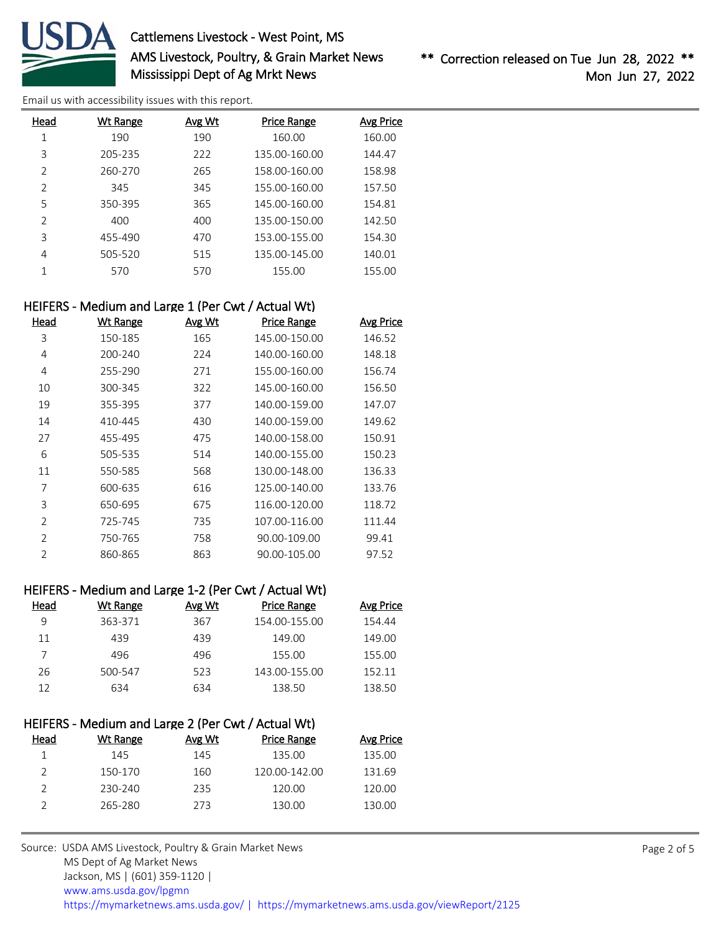

# Cattlemens Livestock - West Point, MS AMS Livestock, Poultry, & Grain Market News Mississippi Dept of Ag Mrkt News

\*\* Correction released on Tue Jun 28, 2022 \*\* Mon Jun 27, 2022

[Email us with accessibility issues with this report.](mailto:mars@ams.usda.gov?subject=508%20issue)

| Wt Range | Avg Wt | <b>Price Range</b> | <b>Avg Price</b> |
|----------|--------|--------------------|------------------|
| 190      | 190    | 160.00             | 160.00           |
| 205-235  | 222    | 135.00-160.00      | 144.47           |
| 260-270  | 265    | 158.00-160.00      | 158.98           |
| 345      | 345    | 155.00-160.00      | 157.50           |
| 350-395  | 365    | 145.00-160.00      | 154.81           |
| 400      | 400    | 135.00-150.00      | 142.50           |
| 455-490  | 470    | 153.00-155.00      | 154.30           |
| 505-520  | 515    | 135.00-145.00      | 140.01           |
| 570      | 570    | 155.00             | 155.00           |
|          |        |                    |                  |

#### HEIFERS - Medium and Large 1 (Per Cwt / Actual Wt)

| Head           | <b>Wt Range</b> | Avg Wt | <b>Price Range</b> | <b>Avg Price</b> |
|----------------|-----------------|--------|--------------------|------------------|
| 3              | 150-185         | 165    | 145.00-150.00      | 146.52           |
| 4              | 200-240         | 224    | 140.00-160.00      | 148.18           |
| 4              | 255-290         | 271    | 155.00-160.00      | 156.74           |
| 10             | 300-345         | 322    | 145.00-160.00      | 156.50           |
| 19             | 355-395         | 377    | 140.00-159.00      | 147.07           |
| 14             | 410-445         | 430    | 140.00-159.00      | 149.62           |
| 27             | 455-495         | 475    | 140.00-158.00      | 150.91           |
| 6              | 505-535         | 514    | 140.00-155.00      | 150.23           |
| 11             | 550-585         | 568    | 130.00-148.00      | 136.33           |
| 7              | 600-635         | 616    | 125.00-140.00      | 133.76           |
| 3              | 650-695         | 675    | 116.00-120.00      | 118.72           |
| $\overline{2}$ | 725-745         | 735    | 107.00-116.00      | 111.44           |
| 2              | 750-765         | 758    | 90.00-109.00       | 99.41            |
| $\overline{2}$ | 860-865         | 863    | 90.00-105.00       | 97.52            |

# HEIFERS - Medium and Large 1-2 (Per Cwt / Actual Wt)

| Head | Wt Range | Avg Wt | Price Range   | <b>Avg Price</b> |
|------|----------|--------|---------------|------------------|
| 9    | 363-371  | 367    | 154.00-155.00 | 154.44           |
| 11   | 439      | 439    | 149.00        | 149.00           |
|      | 496      | 496    | 155.00        | 155.00           |
| 26   | 500-547  | 523    | 143.00-155.00 | 152.11           |
| 12   | 634      | 634    | 138.50        | 138.50           |

| HEIFERS - Medium and Large 2 (Per Cwt / Actual Wt) |          |        |                    |                  |
|----------------------------------------------------|----------|--------|--------------------|------------------|
| Head                                               | Wt Range | Avg Wt | <b>Price Range</b> | <b>Avg Price</b> |
|                                                    | 145      | 145    | 135.00             | 135.00           |
| $\mathcal{P}$                                      | 150-170  | 160    | 120.00-142.00      | 131.69           |
|                                                    | 230-240  | 235    | 120.00             | 120.00           |
|                                                    | 265-280  | 273    | 130.00             | 130.00           |
|                                                    |          |        |                    |                  |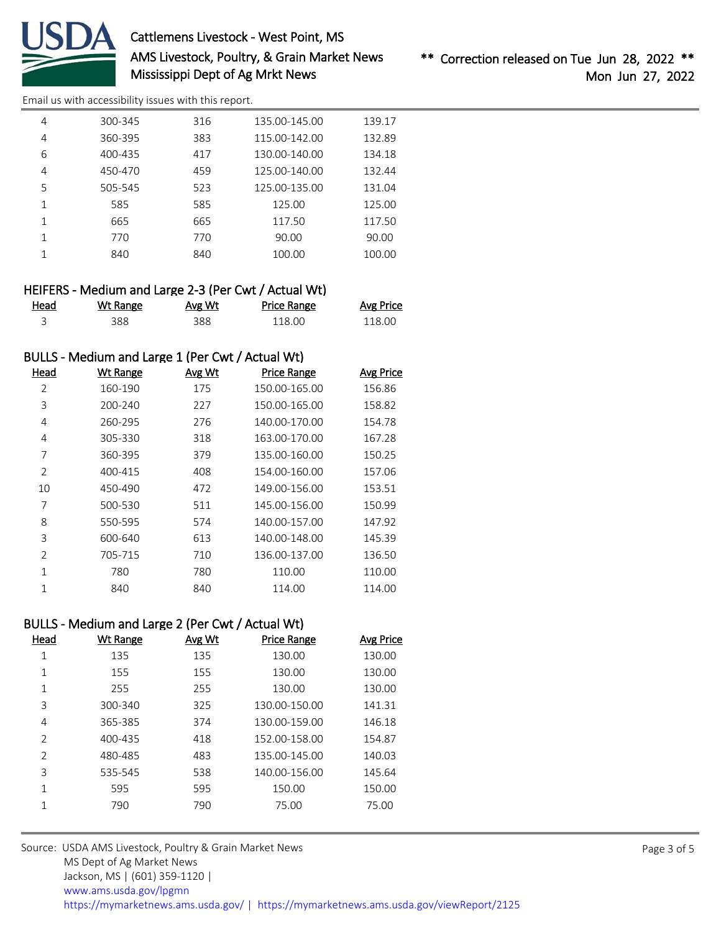

# Cattlemens Livestock - West Point, MS AMS Livestock, Poultry, & Grain Market News Mississippi Dept of Ag Mrkt News

[Email us with accessibility issues with this report.](mailto:mars@ams.usda.gov?subject=508%20issue)

| 4 | 300-345 | 316 | 135.00-145.00 | 139.17 |
|---|---------|-----|---------------|--------|
| 4 | 360-395 | 383 | 115.00-142.00 | 132.89 |
| 6 | 400-435 | 417 | 130.00-140.00 | 134.18 |
| 4 | 450-470 | 459 | 125.00-140.00 | 132.44 |
| 5 | 505-545 | 523 | 125.00-135.00 | 131.04 |
| 1 | 585     | 585 | 125.00        | 125.00 |
|   | 665     | 665 | 117.50        | 117.50 |
|   | 770     | 770 | 90.00         | 90.00  |
|   | 840     | 840 | 100.00        | 100.00 |
|   |         |     |               |        |

| HEIFERS - Medium and Large 2-3 (Per Cwt / Actual Wt) |          |        |             |                  |
|------------------------------------------------------|----------|--------|-------------|------------------|
| Head                                                 | Wt Range | Avg Wt | Price Range | <b>Avg Price</b> |
|                                                      | 388.     | 388    | 118.00      | 118.OO           |

### BULLS - Medium and Large 1 (Per Cwt / Actual Wt)

| Head          | <b>Wt Range</b> | Avg Wt | <b>Price Range</b> | <b>Avg Price</b> |
|---------------|-----------------|--------|--------------------|------------------|
| 2             | 160-190         | 175    | 150.00-165.00      | 156.86           |
| 3             | 200-240         | 227    | 150.00-165.00      | 158.82           |
| 4             | 260-295         | 276    | 140.00-170.00      | 154.78           |
| 4             | 305-330         | 318    | 163.00-170.00      | 167.28           |
| 7             | 360-395         | 379    | 135.00-160.00      | 150.25           |
| $\mathcal{P}$ | 400-415         | 408    | 154.00-160.00      | 157.06           |
| 10            | 450-490         | 472    | 149.00-156.00      | 153.51           |
| 7             | 500-530         | 511    | 145.00-156.00      | 150.99           |
| 8             | 550-595         | 574    | 140.00-157.00      | 147.92           |
| 3             | 600-640         | 613    | 140.00-148.00      | 145.39           |
| 2             | 705-715         | 710    | 136.00-137.00      | 136.50           |
| 1             | 780             | 780    | 110.00             | 110.00           |
| 1             | 840             | 840    | 114.00             | 114.00           |

## BULLS - Medium and Large 2 (Per Cwt / Actual Wt)

| Head           | Wt Range | Avg Wt | <b>Price Range</b> | Avg Price |
|----------------|----------|--------|--------------------|-----------|
| 1              | 135      | 135    | 130.00             | 130.00    |
| 1              | 155      | 155    | 130.00             | 130.00    |
| 1              | 255      | 255    | 130.00             | 130.00    |
| 3              | 300-340  | 325    | 130.00-150.00      | 141.31    |
| 4              | 365-385  | 374    | 130.00-159.00      | 146.18    |
| $\mathcal{P}$  | 400-435  | 418    | 152.00-158.00      | 154.87    |
| $\overline{2}$ | 480-485  | 483    | 135.00-145.00      | 140.03    |
| 3              | 535-545  | 538    | 140.00-156.00      | 145.64    |
| 1              | 595      | 595    | 150.00             | 150.00    |
| 1              | 790      | 790    | 75.00              | 75.00     |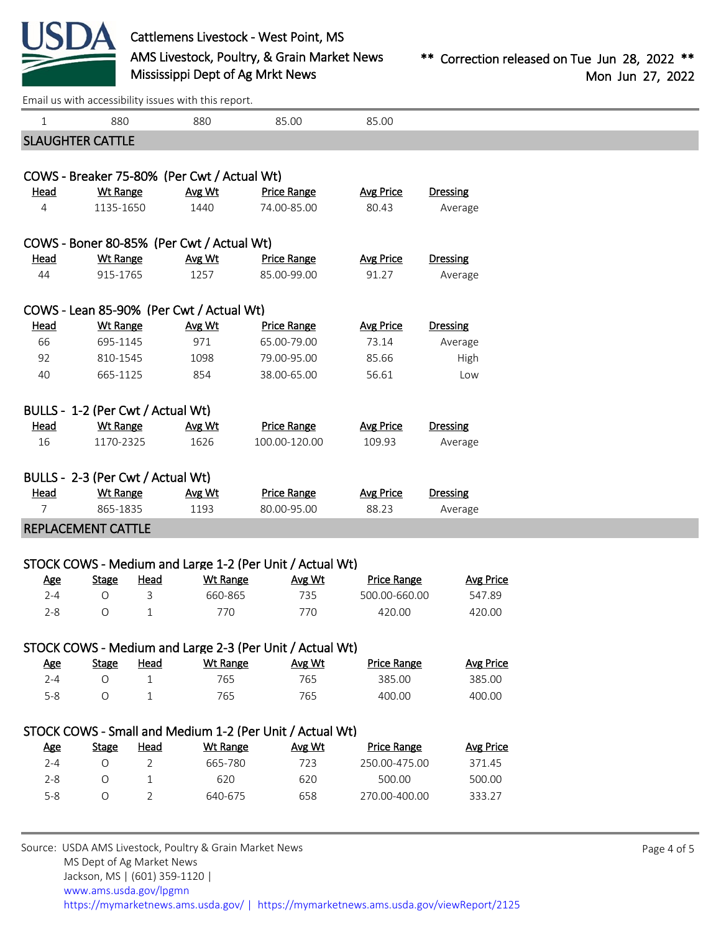

[Email us with accessibility issues with this report.](mailto:mars@ams.usda.gov?subject=508%20issue)

| $\mathbf{1}$ | 880                               |                | 880                                                     | 85.00                                                    | 85.00              |                  |             |
|--------------|-----------------------------------|----------------|---------------------------------------------------------|----------------------------------------------------------|--------------------|------------------|-------------|
|              | <b>SLAUGHTER CATTLE</b>           |                |                                                         |                                                          |                    |                  |             |
|              |                                   |                | COWS - Breaker 75-80% (Per Cwt / Actual Wt)             |                                                          |                    |                  |             |
| <u>Head</u>  | Wt Range                          |                | Avg Wt                                                  | <b>Price Range</b>                                       | <b>Avg Price</b>   | <b>Dressing</b>  |             |
| 4            | 1135-1650                         |                | 1440                                                    | 74.00-85.00                                              | 80.43              | Average          |             |
|              |                                   |                | COWS - Boner 80-85% (Per Cwt / Actual Wt)               |                                                          |                    |                  |             |
| <u>Head</u>  | <b>Wt Range</b>                   |                | Avg Wt                                                  | <b>Price Range</b>                                       | <b>Avg Price</b>   | <b>Dressing</b>  |             |
| 44           | 915-1765                          |                | 1257                                                    | 85.00-99.00                                              | 91.27              | Average          |             |
|              |                                   |                |                                                         |                                                          |                    |                  |             |
|              |                                   |                | COWS - Lean 85-90% (Per Cwt / Actual Wt)                |                                                          |                    |                  |             |
| <b>Head</b>  | <b>Wt Range</b>                   |                | Avg Wt                                                  | <b>Price Range</b>                                       | <b>Avg Price</b>   | <b>Dressing</b>  |             |
| 66           | 695-1145                          |                | 971                                                     | 65.00-79.00                                              | 73.14              | Average          |             |
| 92           | 810-1545                          |                | 1098                                                    | 79.00-95.00                                              | 85.66              | High             |             |
| 40           | 665-1125                          |                | 854                                                     | 38.00-65.00                                              | 56.61              | Low              |             |
|              | BULLS - 1-2 (Per Cwt / Actual Wt) |                |                                                         |                                                          |                    |                  |             |
| <u>Head</u>  | <b>Wt Range</b>                   |                | Avg Wt                                                  | <b>Price Range</b>                                       | <b>Avg Price</b>   | <b>Dressing</b>  |             |
| 16           | 1170-2325                         |                | 1626                                                    | 100.00-120.00                                            | 109.93             | Average          |             |
|              |                                   |                |                                                         |                                                          |                    |                  |             |
|              | BULLS - 2-3 (Per Cwt / Actual Wt) |                |                                                         |                                                          |                    |                  |             |
| <b>Head</b>  | Wt Range                          |                | Avg Wt                                                  | <b>Price Range</b>                                       | <b>Avg Price</b>   | <b>Dressing</b>  |             |
| $7^{\circ}$  | 865-1835                          |                | 1193                                                    | 80.00-95.00                                              | 88.23              | Average          |             |
|              | REPLACEMENT CATTLE                |                |                                                         |                                                          |                    |                  |             |
|              |                                   |                |                                                         | STOCK COWS - Medium and Large 1-2 (Per Unit / Actual Wt) |                    |                  |             |
| <u>Age</u>   | <b>Stage</b>                      | Head           | <b>Wt Range</b>                                         | Avg Wt                                                   | <b>Price Range</b> | <b>Avg Price</b> |             |
| $2 - 4$      | O                                 | $\mathbf{3}$   | 660-865                                                 | 735                                                      | 500.00-660.00      | 547.89           |             |
| $2 - 8$      | 0                                 | $\mathbf{1}$   | 770                                                     | 770                                                      | 420.00             | 420.00           |             |
|              |                                   |                |                                                         | STOCK COWS - Medium and Large 2-3 (Per Unit / Actual Wt) |                    |                  |             |
| <b>Age</b>   | <b>Stage</b>                      | Head           | <b>Wt Range</b>                                         | Avg Wt                                                   | <b>Price Range</b> | <b>Avg Price</b> |             |
| $2 - 4$      | $\bigcirc$                        | $\mathbf{1}$   | 765                                                     | 765                                                      | 385.00             | 385.00           |             |
| $5 - 8$      | O                                 | $\mathbf{1}$   | 765                                                     | 765                                                      | 400.00             | 400.00           |             |
|              |                                   |                |                                                         |                                                          |                    |                  |             |
|              |                                   |                |                                                         | STOCK COWS - Small and Medium 1-2 (Per Unit / Actual Wt) |                    |                  |             |
| <b>Age</b>   | <b>Stage</b>                      | <b>Head</b>    | <b>Wt Range</b>                                         | Avg Wt                                                   | <b>Price Range</b> | <b>Avg Price</b> |             |
| $2 - 4$      | 0                                 | $\overline{2}$ | 665-780                                                 | 723                                                      | 250.00-475.00      | 371.45           |             |
| $2 - 8$      | O                                 | $\mathbf{1}$   | 620                                                     | 620                                                      | 500.00             | 500.00           |             |
| $5 - 8$      | O                                 | $\overline{2}$ | 640-675                                                 | 658                                                      | 270.00-400.00      | 333.27           |             |
|              |                                   |                |                                                         |                                                          |                    |                  |             |
|              |                                   |                | Source: USDA AMS Livestock, Poultry & Grain Market News |                                                          |                    |                  | Page 4 of 5 |
|              | MS Dept of Ag Market News         |                |                                                         |                                                          |                    |                  |             |